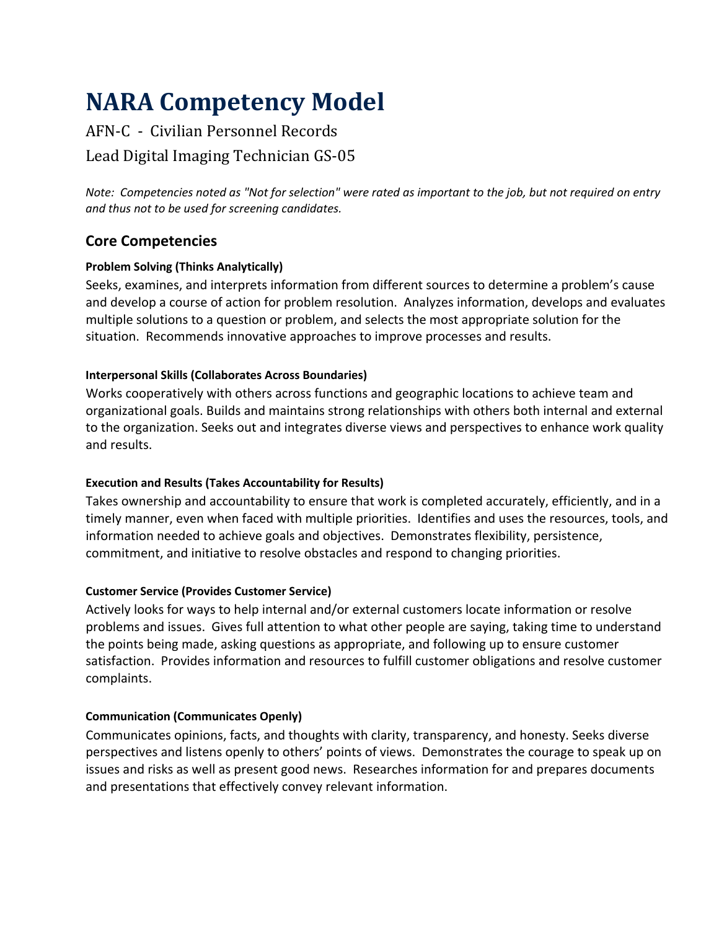# **NARA Competency Model**

# AFN-C - Civilian Personnel Records Lead Digital Imaging Technician GS-05

*Note: Competencies noted as "Not for selection" were rated as important to the job, but not required on entry and thus not to be used for screening candidates.*

# **Core Competencies**

# **Problem Solving (Thinks Analytically)**

Seeks, examines, and interprets information from different sources to determine a problem's cause and develop a course of action for problem resolution. Analyzes information, develops and evaluates multiple solutions to a question or problem, and selects the most appropriate solution for the situation. Recommends innovative approaches to improve processes and results.

# **Interpersonal Skills (Collaborates Across Boundaries)**

Works cooperatively with others across functions and geographic locations to achieve team and organizational goals. Builds and maintains strong relationships with others both internal and external to the organization. Seeks out and integrates diverse views and perspectives to enhance work quality and results.

# **Execution and Results (Takes Accountability for Results)**

Takes ownership and accountability to ensure that work is completed accurately, efficiently, and in a timely manner, even when faced with multiple priorities. Identifies and uses the resources, tools, and information needed to achieve goals and objectives. Demonstrates flexibility, persistence, commitment, and initiative to resolve obstacles and respond to changing priorities.

# **Customer Service (Provides Customer Service)**

Actively looks for ways to help internal and/or external customers locate information or resolve problems and issues. Gives full attention to what other people are saying, taking time to understand the points being made, asking questions as appropriate, and following up to ensure customer satisfaction. Provides information and resources to fulfill customer obligations and resolve customer complaints.

# **Communication (Communicates Openly)**

Communicates opinions, facts, and thoughts with clarity, transparency, and honesty. Seeks diverse perspectives and listens openly to others' points of views. Demonstrates the courage to speak up on issues and risks as well as present good news. Researches information for and prepares documents and presentations that effectively convey relevant information.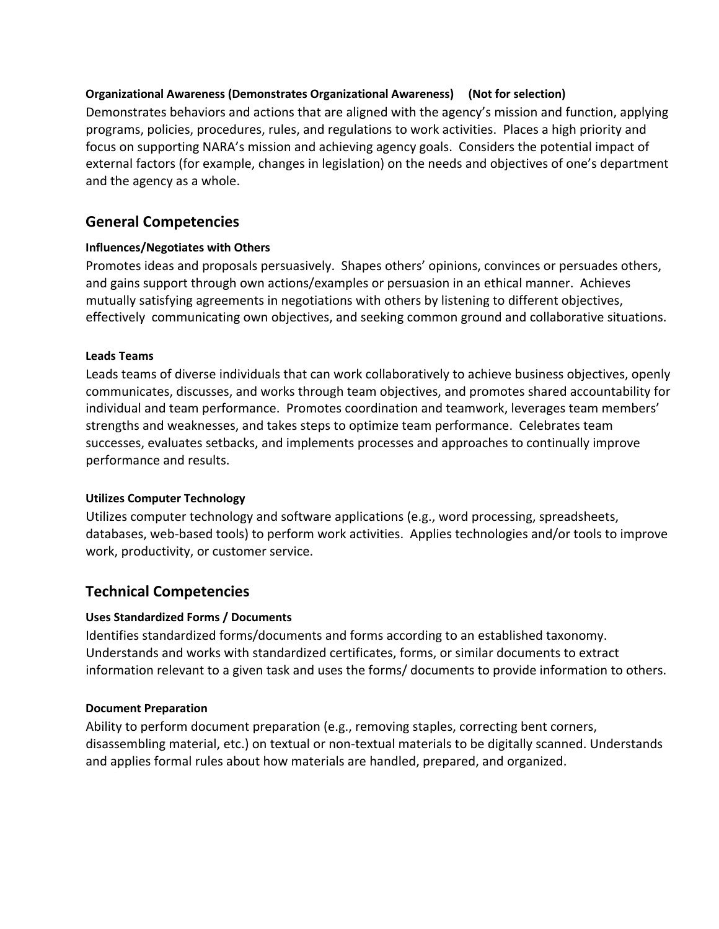### **Organizational Awareness (Demonstrates Organizational Awareness) (Not for selection)**

Demonstrates behaviors and actions that are aligned with the agency's mission and function, applying programs, policies, procedures, rules, and regulations to work activities. Places a high priority and focus on supporting NARA's mission and achieving agency goals. Considers the potential impact of external factors (for example, changes in legislation) on the needs and objectives of one's department and the agency as a whole.

# **General Competencies**

#### **Influences/Negotiates with Others**

Promotes ideas and proposals persuasively. Shapes others' opinions, convinces or persuades others, and gains support through own actions/examples or persuasion in an ethical manner. Achieves mutually satisfying agreements in negotiations with others by listening to different objectives, effectively communicating own objectives, and seeking common ground and collaborative situations.

#### **Leads Teams**

Leads teams of diverse individuals that can work collaboratively to achieve business objectives, openly communicates, discusses, and works through team objectives, and promotes shared accountability for individual and team performance. Promotes coordination and teamwork, leverages team members' strengths and weaknesses, and takes steps to optimize team performance. Celebrates team successes, evaluates setbacks, and implements processes and approaches to continually improve performance and results.

#### **Utilizes Computer Technology**

Utilizes computer technology and software applications (e.g., word processing, spreadsheets, databases, web-based tools) to perform work activities. Applies technologies and/or tools to improve work, productivity, or customer service.

# **Technical Competencies**

#### **Uses Standardized Forms / Documents**

Identifies standardized forms/documents and forms according to an established taxonomy. Understands and works with standardized certificates, forms, or similar documents to extract information relevant to a given task and uses the forms/ documents to provide information to others.

#### **Document Preparation**

Ability to perform document preparation (e.g., removing staples, correcting bent corners, disassembling material, etc.) on textual or non-textual materials to be digitally scanned. Understands and applies formal rules about how materials are handled, prepared, and organized.